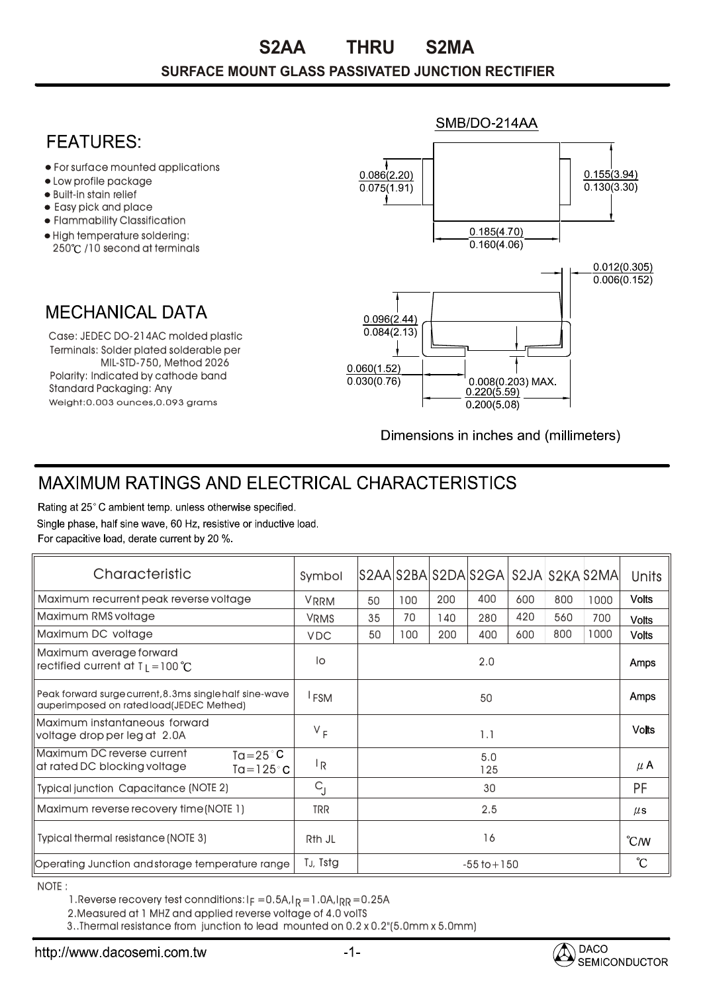## **SURFACE MOUNT GLASS PASSIVATED JUNCTION RECTIFIER S2AA THRU S2MA**

## SMB/DO-214AA **FFATURFS** For surface mounted applications  $0.086(2.20)$  $0.155(3.94)$ Low profile package  $0.075(1.91)$  $0.130(3.30)$ • Built-in stain relief t Easy pick and place Flammability Classification  $0.185(4.70)$ High temperature soldering:  $0.160(4.06)$ 250°C /10 second at terminals  $0.012(0.305)$  $0.006(0.152)$ **MECHANICAL DATA**  $0.096(2.44)$  $0.084(2.13)$ Case: JEDEC DO-214AC molded plastic Terminals: Solder plated solderable per MIL-STD-750, Method 2026  $0.060(1.52)$ Polarity: Indicated by cathode band  $0.008(0.203)$  MAX.  $0.030(0.76)$ Standard Packaging: Any  $0.220(5.59)$ Weight:0.003 ounces,0.093 grams  $0.200(5.08)$

Dimensions in inches and (millimeters)

## **MAXIMUM RATINGS AND ELECTRICAL CHARACTERISTICS**

Rating at 25°C ambient temp. unless otherwise specified. Single phase, half sine wave, 60 Hz, resistive or inductive load. For capacitive load, derate current by 20 %.

| Characteristic                                                                                          | Symbol           |                 |     |     | S2AA S2BA S2DA S2GA   S2JA   S2KA 52MA |     |     |               | <b>Units</b> |
|---------------------------------------------------------------------------------------------------------|------------------|-----------------|-----|-----|----------------------------------------|-----|-----|---------------|--------------|
| Maximum recurrent peak reverse voltage                                                                  | <b>VRRM</b>      | 50              | 100 | 200 | 400                                    | 600 | 800 | 1000          | <b>Volts</b> |
| Maximum RMS voltage                                                                                     | <b>VRMS</b>      | 35              | 70  | 140 | 280                                    | 420 | 560 | 700           | <b>Volts</b> |
| Maximum DC voltage                                                                                      | <b>VDC</b>       | 50              | 100 | 200 | 400                                    | 600 | 800 | 1000          | <b>Volts</b> |
| Maximum average forward<br>rectified current at $T_1 = 100 °C$                                          | lo               | 2.0             |     |     |                                        |     |     |               | Amps         |
| Peak forward surge current, 8.3ms single half sine-wave<br>auperimposed on rated load(JEDEC Methed)     | <sup>I</sup> FSM | 50              |     |     |                                        |     |     |               | <b>Amps</b>  |
| Maximum instantaneous forward<br>voltage drop per leg at 2.0A                                           | $V_F$            | 1.1             |     |     |                                        |     |     |               | <b>Volts</b> |
| Maximum DC reverse current<br>$Ta = 25^{\circ}C$<br>at rated DC blocking voltage<br>Ta=125 $^{\circ}$ C | <sup> </sup> R   | 5.0<br>125      |     |     |                                        |     |     | $\mu$ A       |              |
| <b>Typical junction Capacitance (NOTE 2)</b>                                                            | $C_{\rm l}$      | 30              |     |     |                                        |     |     | <b>PF</b>     |              |
| Maximum reverse recovery time (NOTE 1)                                                                  | <b>TRR</b>       | 2.5             |     |     |                                        |     |     | $\mu$ s       |              |
| <b>Typical thermal resistance (NOTE 3)</b>                                                              | Rth JL           | 16              |     |     |                                        |     |     | $\degree$ C/W |              |
| Operating Junction and storage temperature range                                                        | TJ, Tstg         | $-55$ to $+150$ |     |     |                                        |     |     |               | °С           |

NOTE :

1.Reverse recovery test connditions: I $_{\mathsf{F}}$  =0.5A,I $_{\mathsf{R}}$ =1.0A,I $_{\mathsf{RR}}$ =0.25A

2.Measured at 1 MHZ and applied reverse voltage of 4.0 volTS

3..Thermal resistance from junction to lead mounted on 0.2 x 0.2"(5.0mm x 5.0mm)